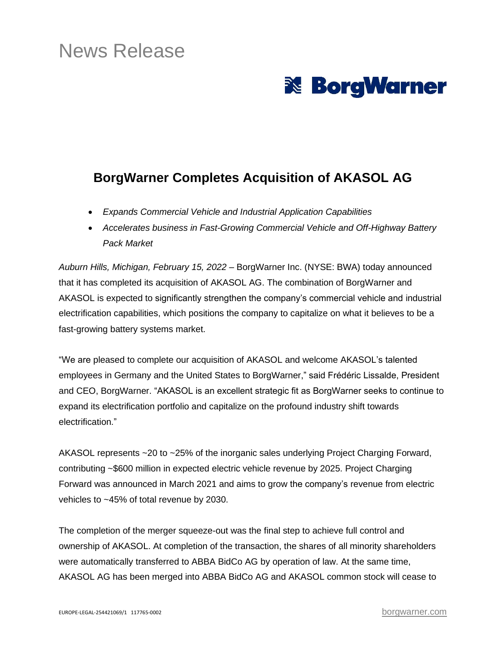# News Release



## **BorgWarner Completes Acquisition of AKASOL AG**

- *Expands Commercial Vehicle and Industrial Application Capabilities*
- *Accelerates business in Fast-Growing Commercial Vehicle and Off-Highway Battery Pack Market*

*Auburn Hills, Michigan, February 15, 2022* – BorgWarner Inc. (NYSE: BWA) today announced that it has completed its acquisition of AKASOL AG. The combination of BorgWarner and AKASOL is expected to significantly strengthen the company's commercial vehicle and industrial electrification capabilities, which positions the company to capitalize on what it believes to be a fast-growing battery systems market.

"We are pleased to complete our acquisition of AKASOL and welcome AKASOL's talented employees in Germany and the United States to BorgWarner," said Frédéric Lissalde, President and CEO, BorgWarner. "AKASOL is an excellent strategic fit as BorgWarner seeks to continue to expand its electrification portfolio and capitalize on the profound industry shift towards electrification."

AKASOL represents ~20 to ~25% of the inorganic sales underlying Project Charging Forward, contributing ~\$600 million in expected electric vehicle revenue by 2025. Project Charging Forward was announced in March 2021 and aims to grow the company's revenue from electric vehicles to ~45% of total revenue by 2030.

The completion of the merger squeeze-out was the final step to achieve full control and ownership of AKASOL. At completion of the transaction, the shares of all minority shareholders were automatically transferred to ABBA BidCo AG by operation of law. At the same time, AKASOL AG has been merged into ABBA BidCo AG and AKASOL common stock will cease to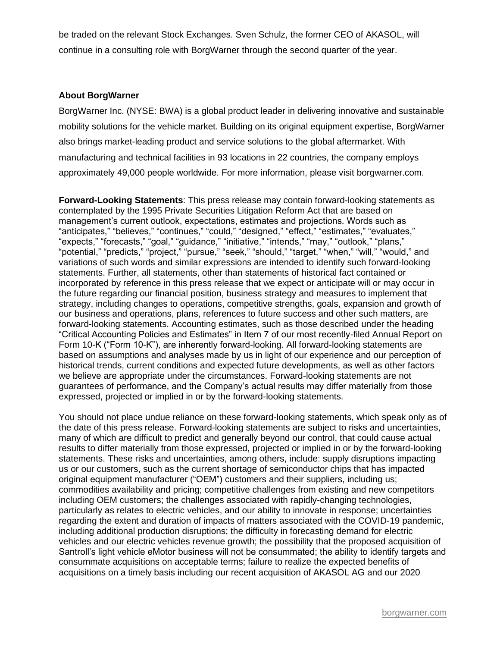be traded on the relevant Stock Exchanges. Sven Schulz, the former CEO of AKASOL, will continue in a consulting role with BorgWarner through the second quarter of the year.

#### **About BorgWarner**

BorgWarner Inc. (NYSE: BWA) is a global product leader in delivering innovative and sustainable mobility solutions for the vehicle market. Building on its original equipment expertise, BorgWarner also brings market-leading product and service solutions to the global aftermarket. With manufacturing and technical facilities in 93 locations in 22 countries, the company employs approximately 49,000 people worldwide. For more information, please visit borgwarner.com.

**Forward-Looking Statements**: This press release may contain forward-looking statements as contemplated by the 1995 Private Securities Litigation Reform Act that are based on management's current outlook, expectations, estimates and projections. Words such as "anticipates," "believes," "continues," "could," "designed," "effect," "estimates," "evaluates," "expects," "forecasts," "goal," "guidance," "initiative," "intends," "may," "outlook," "plans," "potential," "predicts," "project," "pursue," "seek," "should," "target," "when," "will," "would," and variations of such words and similar expressions are intended to identify such forward-looking statements. Further, all statements, other than statements of historical fact contained or incorporated by reference in this press release that we expect or anticipate will or may occur in the future regarding our financial position, business strategy and measures to implement that strategy, including changes to operations, competitive strengths, goals, expansion and growth of our business and operations, plans, references to future success and other such matters, are forward-looking statements. Accounting estimates, such as those described under the heading "Critical Accounting Policies and Estimates" in Item 7 of our most recently-filed Annual Report on Form 10-K ("Form 10-K"), are inherently forward-looking. All forward-looking statements are based on assumptions and analyses made by us in light of our experience and our perception of historical trends, current conditions and expected future developments, as well as other factors we believe are appropriate under the circumstances. Forward-looking statements are not guarantees of performance, and the Company's actual results may differ materially from those expressed, projected or implied in or by the forward-looking statements.

You should not place undue reliance on these forward-looking statements, which speak only as of the date of this press release. Forward-looking statements are subject to risks and uncertainties, many of which are difficult to predict and generally beyond our control, that could cause actual results to differ materially from those expressed, projected or implied in or by the forward-looking statements. These risks and uncertainties, among others, include: supply disruptions impacting us or our customers, such as the current shortage of semiconductor chips that has impacted original equipment manufacturer ("OEM") customers and their suppliers, including us; commodities availability and pricing; competitive challenges from existing and new competitors including OEM customers; the challenges associated with rapidly-changing technologies, particularly as relates to electric vehicles, and our ability to innovate in response; uncertainties regarding the extent and duration of impacts of matters associated with the COVID-19 pandemic, including additional production disruptions; the difficulty in forecasting demand for electric vehicles and our electric vehicles revenue growth; the possibility that the proposed acquisition of Santroll's light vehicle eMotor business will not be consummated; the ability to identify targets and consummate acquisitions on acceptable terms; failure to realize the expected benefits of acquisitions on a timely basis including our recent acquisition of AKASOL AG and our 2020